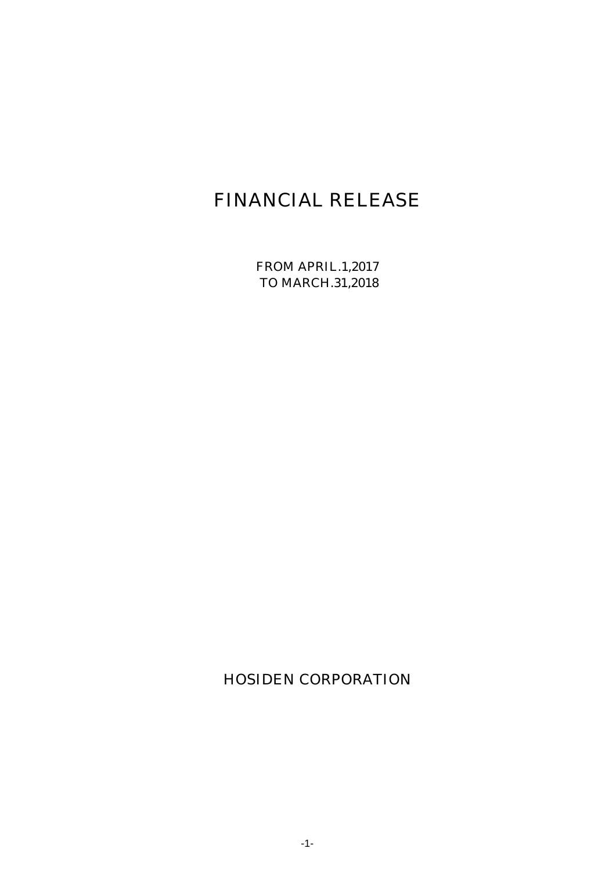# FINANCIAL RELEASE

FROM APRIL.1,2017 TO MARCH.31,2018

HOSIDEN CORPORATION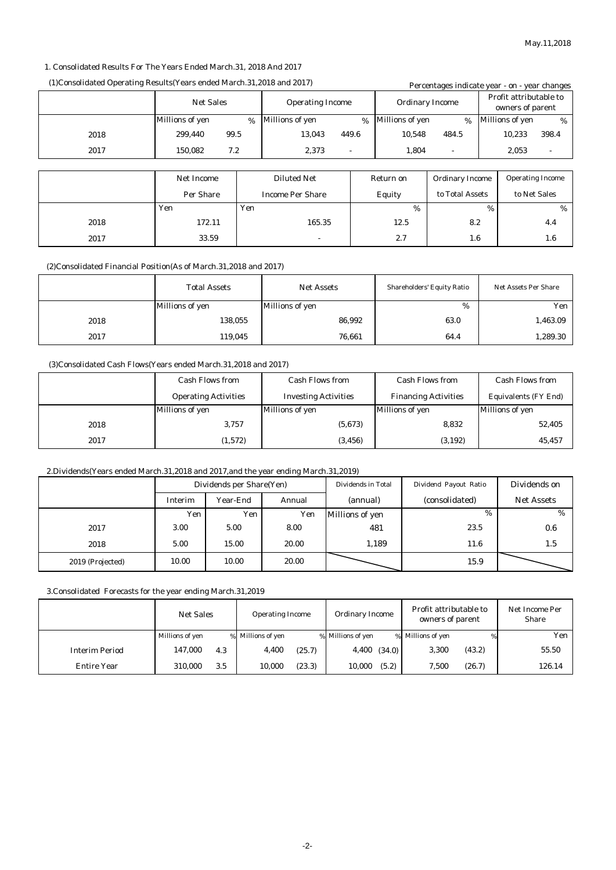#### 1. Consolidated Results For The Years Ended March.31, 2018 And 2017

## (1)Consolidated Operating Results(Years ended March.31,2018 and 2017) Percentages indicate year - on - year changes

|      |                  |      |                         |               |                        | Percentages murcate year - on - year changes |      |                                            |                |
|------|------------------|------|-------------------------|---------------|------------------------|----------------------------------------------|------|--------------------------------------------|----------------|
|      | <b>Net Sales</b> |      | <b>Operating Income</b> |               | <b>Ordinary Income</b> |                                              |      | Profit attributable to<br>owners of parent |                |
|      | Millions of yen  | $\%$ | <b>Millions of yen</b>  | $\frac{9}{6}$ | Millions of yen        | %                                            |      | <b>Millions of yen</b>                     | %              |
| 2018 | 99.5<br>299,440  |      | 13,043                  | 449.6         | 10,548                 | 484.5                                        |      | 10,233                                     | 398.4          |
| 2017 | 7.2<br>150,082   |      | 2,373                   | $\sim$        | 1,804                  | $\overline{\phantom{a}}$                     |      | 2,053                                      | $\blacksquare$ |
|      |                  |      |                         |               |                        |                                              |      |                                            |                |
|      | Net Income       |      | <b>Diluted Net</b>      |               | Return on              | <b>Ordinary Income</b>                       |      | <b>Operating Income</b>                    |                |
|      | <b>Per Share</b> |      | <b>Income Per Share</b> |               | Equity                 | to Total Assets                              |      | to Net Sales                               |                |
|      | Yen              | Yen  |                         |               | $\%$                   |                                              | $\%$ |                                            | %              |
| 2018 | 172.11           |      | 165.35                  |               | 12.5                   | 8.2                                          |      |                                            | 4.4            |
| 2017 | 33.59            |      |                         |               | 2.7                    | 1.6                                          |      |                                            | $1.6\,$        |

#### (2)Consolidated Financial Position(As of March.31,2018 and 2017)

|      | <b>Total Assets</b> | <b>Net Assets</b> | <b>Shareholders' Equity Ratio</b> | <b>Net Assets Per Share</b> |
|------|---------------------|-------------------|-----------------------------------|-----------------------------|
|      | Millions of yen     | Millions of yen   | %                                 | Yen                         |
| 2018 | 138,055             | 86,992            | 63.0                              | 1,463.09                    |
| 2017 | 119,045             | 76,661            | 64.4                              | 1,289.30                    |

### (3)Consolidated Cash Flows(Years ended March.31,2018 and 2017)

|      | <b>Cash Flows from</b>      | <b>Cash Flows from</b>      | <b>Cash Flows from</b>      | <b>Cash Flows from</b>      |
|------|-----------------------------|-----------------------------|-----------------------------|-----------------------------|
|      | <b>Operating Activities</b> | <b>Investing Activities</b> | <b>Financing Activities</b> | <b>Equivalents (FY End)</b> |
|      | Millions of yen             | Millions of yen             | Millions of yen             | <b>Millions of yen</b>      |
| 2018 | 3,757                       | (5,673)                     | 8,832                       | 52,405                      |
| 2017 | (1,572)                     | (3, 456)                    | (3, 192)                    | 45,457                      |

### 2.Dividends(Years ended March.31,2018 and 2017,and the year ending March.31,2019)

|                  | Dividends per Share(Yen) |          |        | Dividends in Total | Dividend Payout Ratio | Dividends on      |
|------------------|--------------------------|----------|--------|--------------------|-----------------------|-------------------|
|                  | Interim                  | Year-End | Annual | (annual)           | (consolidated)        | <b>Net Assets</b> |
|                  | Yen                      | Yen      | Yen    | Millions of yen    | %                     | $\%$              |
| 2017             | 3.00                     | 5.00     | 8.00   | 481                | 23.5                  | 0.6               |
| 2018             | 5.00                     | 15.00    | 20.00  | 1,189              | 11.6                  | 1.5               |
| 2019 (Projected) | 10.00                    | 10.00    | 20.00  |                    | 15.9                  |                   |

3.Consolidated Forecasts for the year ending March.31,2019

|                       | <b>Net Sales</b> |     | <b>Operating Income</b> |        | <b>Ordinary Income</b> |                  | Profit attributable to<br>owners of parent |        | Net Income Per<br><b>Share</b> |
|-----------------------|------------------|-----|-------------------------|--------|------------------------|------------------|--------------------------------------------|--------|--------------------------------|
|                       | Millions of yen  |     | % Millions of yen       |        | % Millions of yen      |                  | % Millions of yen                          | %      | Yen                            |
| <b>Interim Period</b> | 147.000          | 4.3 | 4,400                   | (25.7) |                        | $4,400$ $(34.0)$ | 3,300                                      | (43.2) | 55.50                          |
| <b>Entire Year</b>    | 310.000          | 3.5 | 10,000                  | (23.3) | 10,000                 | (5.2)            | 7,500                                      | (26.7) | 126.14                         |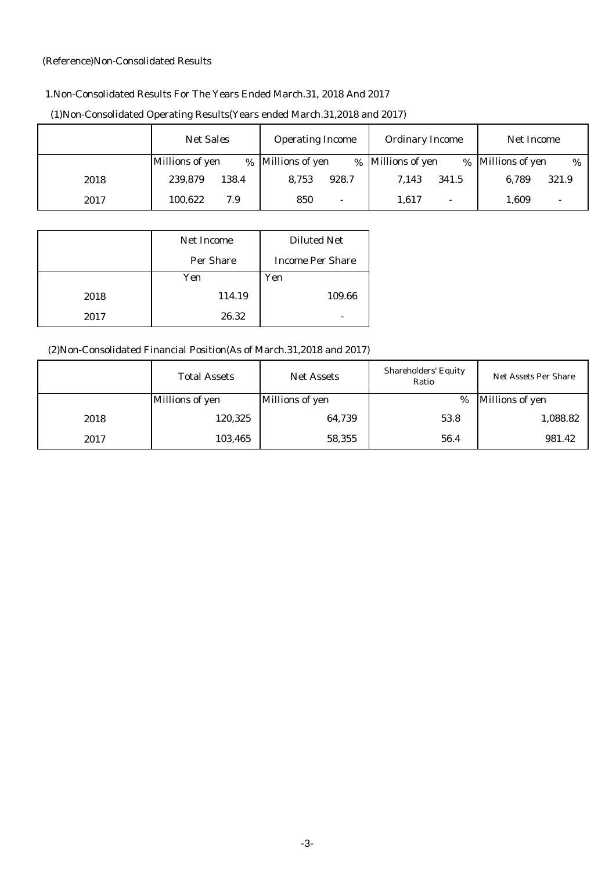## (Reference)Non-Consolidated Results

# 1.Non-Consolidated Results For The Years Ended March.31, 2018 And 2017

|      | <b>Net Sales</b> | <b>Operating Income</b>         | <b>Ordinary Income</b>            | Net Income              |
|------|------------------|---------------------------------|-----------------------------------|-------------------------|
|      | Millions of yen  | % Millions of yen               | % Millions of yen<br>$\%$         | Millions of yen<br>$\%$ |
| 2018 | 239,879<br>138.4 | 8,753<br>928.7                  | 7.143<br>341.5                    | 321.9<br>6.789          |
| 2017 | 100.622<br>7.9   | 850<br>$\overline{\phantom{0}}$ | 1,617<br>$\overline{\phantom{0}}$ | 1,609                   |

# (1)Non-Consolidated Operating Results(Years ended March.31,2018 and 2017)

|      | <b>Net Income</b> | <b>Diluted Net</b>      |
|------|-------------------|-------------------------|
|      | <b>Per Share</b>  | <b>Income Per Share</b> |
|      | Yen               | Yen                     |
| 2018 | 114.19            | 109.66                  |
| 2017 | 26.32             |                         |

# (2)Non-Consolidated Financial Position(As of March.31,2018 and 2017)

|      | <b>Total Assets</b>    | <b>Net Assets</b>      | <b>Shareholders' Equity</b><br>Ratio | <b>Net Assets Per Share</b> |
|------|------------------------|------------------------|--------------------------------------|-----------------------------|
|      | <b>Millions of yen</b> | <b>Millions of yen</b> | %                                    | Millions of yen             |
| 2018 | 120,325                | 64,739                 | 53.8                                 | 1,088.82                    |
| 2017 | 103,465                | 58,355                 | 56.4                                 | 981.42                      |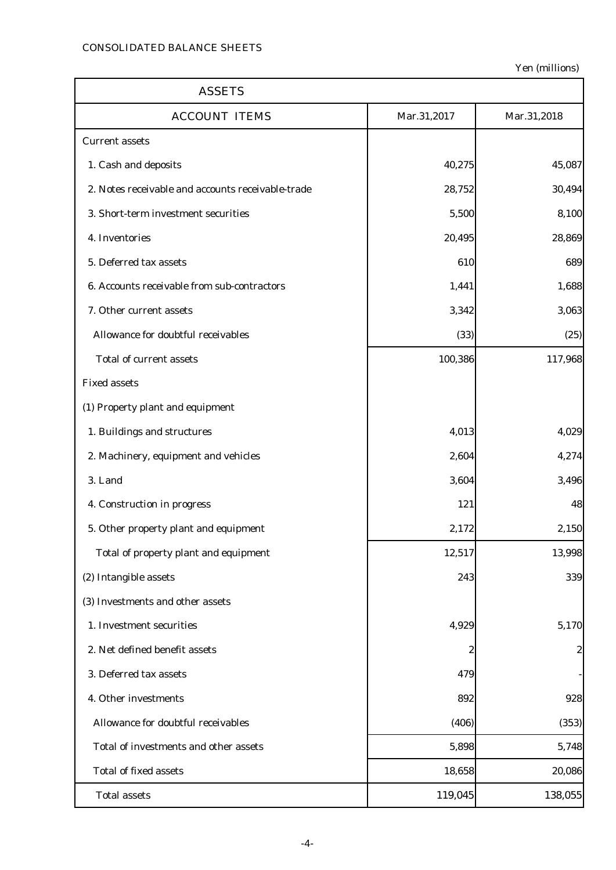| <b>ASSETS</b>                                     |             |             |
|---------------------------------------------------|-------------|-------------|
| <b>ACCOUNT ITEMS</b>                              | Mar.31,2017 | Mar.31,2018 |
| <b>Current assets</b>                             |             |             |
| 1. Cash and deposits                              | 40,275      | 45,087      |
| 2. Notes receivable and accounts receivable-trade | 28,752      | 30,494      |
| 3. Short-term investment securities               | 5,500       | 8,100       |
| 4. Inventories                                    | 20,495      | 28,869      |
| 5. Deferred tax assets                            | 610         | 689         |
| 6. Accounts receivable from sub-contractors       | 1,441       | 1,688       |
| 7. Other current assets                           | 3,342       | 3,063       |
| Allowance for doubtful receivables                | (33)        | (25)        |
| <b>Total of current assets</b>                    | 100,386     | 117,968     |
| <b>Fixed assets</b>                               |             |             |
| (1) Property plant and equipment                  |             |             |
| 1. Buildings and structures                       | 4,013       | 4,029       |
| 2. Machinery, equipment and vehicles              | 2,604       | 4,274       |
| 3. Land                                           | 3,604       | 3,496       |
| 4. Construction in progress                       | 121         | 48          |
| 5. Other property plant and equipment             | 2,172       | 2,150       |
| Total of property plant and equipment             | 12,517      | 13,998      |
| (2) Intangible assets                             | 243         | 339         |
| (3) Investments and other assets                  |             |             |
| 1. Investment securities                          | 4,929       | 5,170       |
| 2. Net defined benefit assets                     | 2           | 2           |
| 3. Deferred tax assets                            | 479         |             |
| 4. Other investments                              | 892         | 928         |
| Allowance for doubtful receivables                | (406)       | (353)       |
| Total of investments and other assets             | 5,898       | 5,748       |
| <b>Total of fixed assets</b>                      | 18,658      | 20,086      |
| <b>Total assets</b>                               | 119,045     | 138,055     |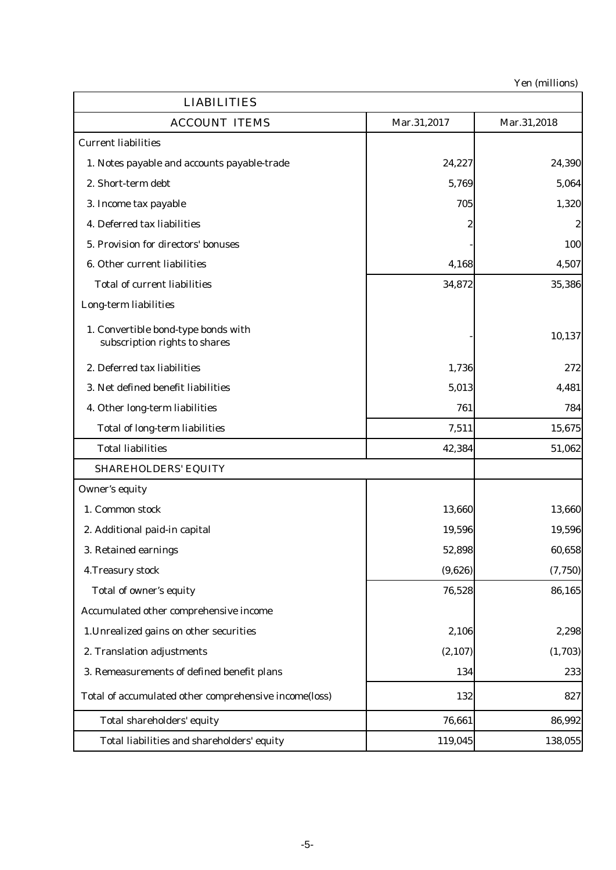| <b>LIABILITIES</b>                                                   |             |             |
|----------------------------------------------------------------------|-------------|-------------|
| <b>ACCOUNT ITEMS</b>                                                 | Mar.31,2017 | Mar.31,2018 |
| <b>Current liabilities</b>                                           |             |             |
| 1. Notes payable and accounts payable-trade                          | 24,227      | 24,390      |
| 2. Short-term debt                                                   | 5,769       | 5,064       |
| 3. Income tax payable                                                | 705         | 1,320       |
| 4. Deferred tax liabilities                                          |             | 2           |
| 5. Provision for directors' bonuses                                  |             | 100         |
| 6. Other current liabilities                                         | 4,168       | 4,507       |
| <b>Total of current liabilities</b>                                  | 34,872      | 35,386      |
| Long-term liabilities                                                |             |             |
| 1. Convertible bond-type bonds with<br>subscription rights to shares |             | 10,137      |
| 2. Deferred tax liabilities                                          | 1,736       | 272         |
| 3. Net defined benefit liabilities                                   | 5,013       | 4,481       |
| 4. Other long-term liabilities                                       | 761         | 784         |
| <b>Total of long-term liabilities</b>                                | 7,511       | 15,675      |
| <b>Total liabilities</b>                                             | 42,384      | 51,062      |
| <b>SHAREHOLDERS' EQUITY</b>                                          |             |             |
| <b>Owner's equity</b>                                                |             |             |
| 1. Common stock                                                      | 13,660      | 13,660      |
| 2. Additional paid-in capital                                        | 19,596      | 19,596      |
| 3. Retained earnings                                                 | 52,898      | 60,658      |
| 4. Treasury stock                                                    | (9,626)     | (7, 750)    |
| Total of owner's equity                                              | 76,528      | 86,165      |
| Accumulated other comprehensive income                               |             |             |
| 1. Unrealized gains on other securities                              | 2,106       | 2,298       |
| 2. Translation adjustments                                           | (2, 107)    | (1,703)     |
| 3. Remeasurements of defined benefit plans                           | 134         | 233         |
| Total of accumulated other comprehensive income(loss)                | 132         | 827         |
| Total shareholders' equity                                           | 76,661      | 86,992      |
| Total liabilities and shareholders' equity                           | 119,045     | 138,055     |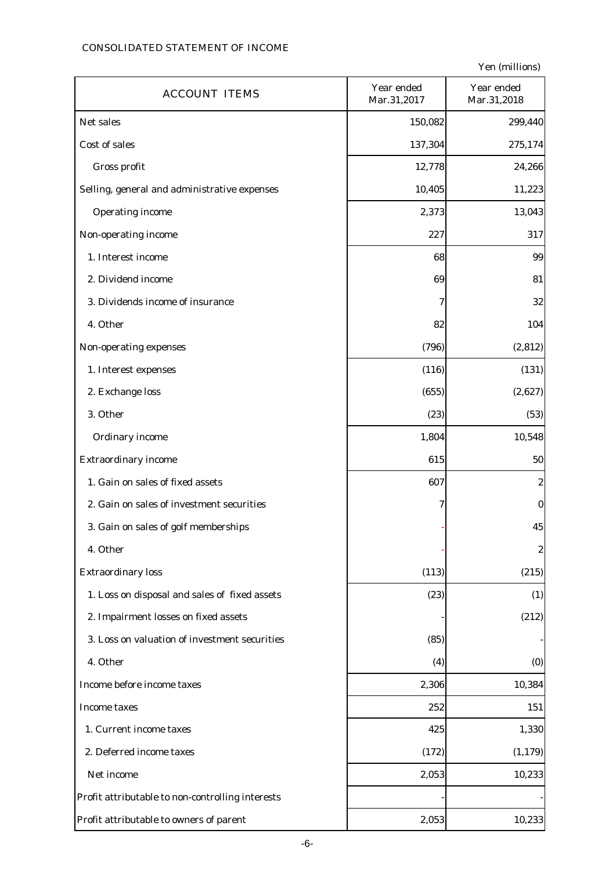# CONSOLIDATED STATEMENT OF INCOME

| <b>ACCOUNT ITEMS</b>                             | Year ended<br>Mar.31,2017 | Year ended<br>Mar.31,2018 |
|--------------------------------------------------|---------------------------|---------------------------|
| Net sales                                        | 150,082                   | 299,440                   |
| Cost of sales                                    | 137,304                   | 275,174                   |
| Gross profit                                     | 12,778                    | 24,266                    |
| Selling, general and administrative expenses     | 10,405                    | 11,223                    |
| <b>Operating income</b>                          | 2,373                     | 13,043                    |
| Non-operating income                             | 227                       | 317                       |
| 1. Interest income                               | 68                        | 99                        |
| 2. Dividend income                               | 69                        | 81                        |
| 3. Dividends income of insurance                 | 7                         | 32                        |
| 4. Other                                         | 82                        | 104                       |
| Non-operating expenses                           | (796)                     | (2, 812)                  |
| 1. Interest expenses                             | (116)                     | (131)                     |
| 2. Exchange loss                                 | (655)                     | (2,627)                   |
| 3. Other                                         | (23)                      | (53)                      |
| <b>Ordinary income</b>                           | 1,804                     | 10,548                    |
| <b>Extraordinary income</b>                      | 615                       | 50                        |
| 1. Gain on sales of fixed assets                 | 607                       | $\boldsymbol{2}$          |
| 2. Gain on sales of investment securities        | 7                         | $\bf{0}$                  |
| 3. Gain on sales of golf memberships             |                           | 45                        |
| 4. Other                                         |                           | $\boldsymbol{2}$          |
| <b>Extraordinary loss</b>                        | (113)                     | (215)                     |
| 1. Loss on disposal and sales of fixed assets    | (23)                      | (1)                       |
| 2. Impairment losses on fixed assets             |                           | (212)                     |
| 3. Loss on valuation of investment securities    | (85)                      |                           |
| 4. Other                                         | (4)                       | (0)                       |
| Income before income taxes                       | 2,306                     | 10,384                    |
| <b>Income taxes</b>                              | 252                       | 151                       |
| 1. Current income taxes                          | 425                       | 1,330                     |
| 2. Deferred income taxes                         | (172)                     | (1, 179)                  |
| Net income                                       | 2,053                     | 10,233                    |
| Profit attributable to non-controlling interests |                           |                           |
| Profit attributable to owners of parent          | 2,053                     | 10,233                    |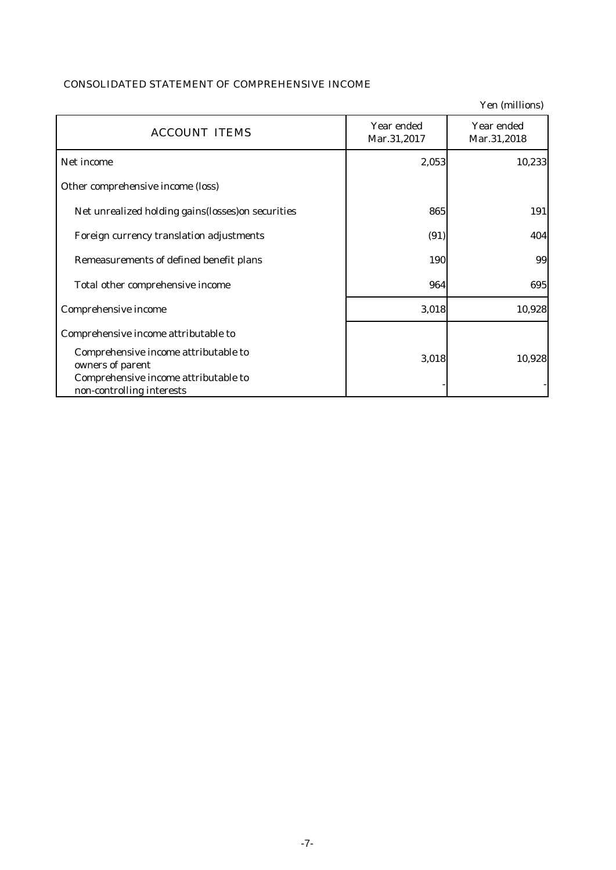# CONSOLIDATED STATEMENT OF COMPREHENSIVE INCOME

|                                                                                                  |                           | Yen (millions)            |
|--------------------------------------------------------------------------------------------------|---------------------------|---------------------------|
| <b>ACCOUNT ITEMS</b>                                                                             | Year ended<br>Mar.31,2017 | Year ended<br>Mar.31,2018 |
| Net income                                                                                       | 2,053                     | 10,233                    |
| Other comprehensive income (loss)                                                                |                           |                           |
| Net unrealized holding gains (losses) on securities                                              | 865                       | 191                       |
| Foreign currency translation adjustments                                                         | (91)                      | 404                       |
| Remeasurements of defined benefit plans                                                          | 190                       | 99                        |
| Total other comprehensive income                                                                 | 964                       | 695                       |
| Comprehensive income                                                                             | 3,018                     | 10,928                    |
| Comprehensive income attributable to                                                             |                           |                           |
| Comprehensive income attributable to<br>owners of parent<br>Comprehensive income attributable to | 3,018                     | 10,928                    |
| non-controlling interests                                                                        |                           |                           |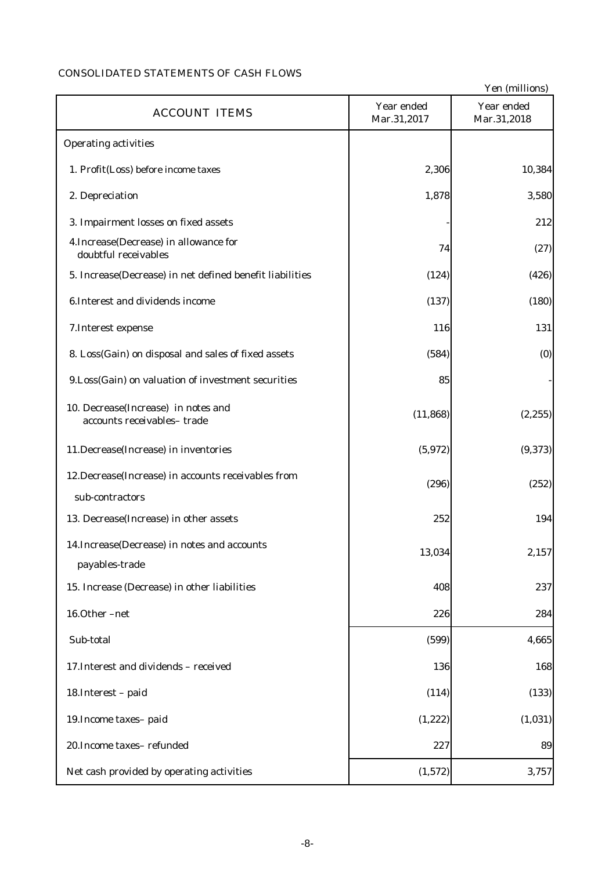# CONSOLIDATED STATEMENTS OF CASH FLOWS

|                                                                         |                           | Yen (millions)            |
|-------------------------------------------------------------------------|---------------------------|---------------------------|
| <b>ACCOUNT ITEMS</b>                                                    | Year ended<br>Mar.31,2017 | Year ended<br>Mar.31,2018 |
| <b>Operating activities</b>                                             |                           |                           |
| 1. Profit(Loss) before income taxes                                     | 2,306                     | 10,384                    |
| 2. Depreciation                                                         | 1,878                     | 3,580                     |
| 3. Impairment losses on fixed assets                                    |                           | 212                       |
| 4. Increase (Decrease) in allowance for<br>doubtful receivables         | 74                        | (27)                      |
| 5. Increase(Decrease) in net defined benefit liabilities                | (124)                     | (426)                     |
| 6. Interest and dividends income                                        | (137)                     | (180)                     |
| 7. Interest expense                                                     | 116                       | 131                       |
| 8. Loss(Gain) on disposal and sales of fixed assets                     | (584)                     | (0)                       |
| 9.Loss(Gain) on valuation of investment securities                      | 85                        |                           |
| 10. Decrease(Increase) in notes and<br>accounts receivables-trade       | (11, 868)                 | (2, 255)                  |
| 11.Decrease(Increase) in inventories                                    | (5,972)                   | (9, 373)                  |
| 12. Decrease (Increase) in accounts receivables from<br>sub-contractors | (296)                     | (252)                     |
| 13. Decrease(Increase) in other assets                                  | 252                       | 194                       |
| 14. Increase (Decrease) in notes and accounts<br>payables-trade         | 13,034                    | 2,157                     |
| 15. Increase (Decrease) in other liabilities                            | 408                       | 237                       |
| 16.Other-net                                                            | 226                       | 284                       |
| Sub-total                                                               | (599)                     | 4,665                     |
| 17. Interest and dividends - received                                   | 136                       | 168                       |
| 18. Interest - paid                                                     | (114)                     | (133)                     |
| 19. Income taxes-paid                                                   | (1, 222)                  | (1,031)                   |
| 20. Income taxes-refunded                                               | 227                       | 89                        |
| Net cash provided by operating activities                               | (1,572)                   | 3,757                     |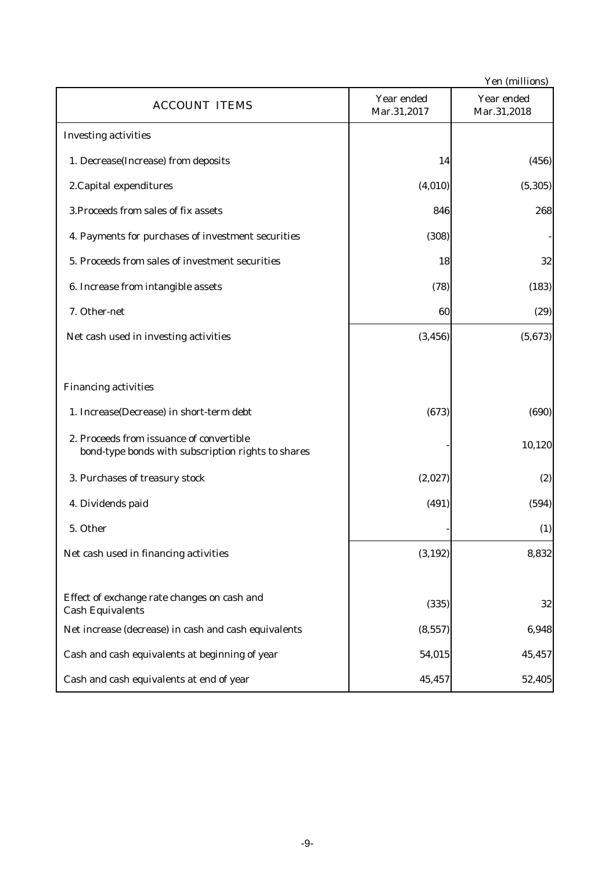|                                                                                                |                           | Yen (millions)            |
|------------------------------------------------------------------------------------------------|---------------------------|---------------------------|
| <b>ACCOUNT ITEMS</b>                                                                           | Year ended<br>Mar.31,2017 | Year ended<br>Mar.31,2018 |
| <b>Investing activities</b>                                                                    |                           |                           |
| 1. Decrease(Increase) from deposits                                                            | 14                        | (456)                     |
| 2. Capital expenditures                                                                        | (4,010)                   | (5, 305)                  |
| 3. Proceeds from sales of fix assets                                                           | 846                       | 268                       |
| 4. Payments for purchases of investment securities                                             | (308)                     |                           |
| 5. Proceeds from sales of investment securities                                                | 18                        | 32                        |
| 6. Increase from intangible assets                                                             | (78)                      | (183)                     |
| 7. Other-net                                                                                   | 60                        | (29)                      |
| Net cash used in investing activities                                                          | (3, 456)                  | (5,673)                   |
|                                                                                                |                           |                           |
| <b>Financing activities</b>                                                                    |                           |                           |
| 1. Increase(Decrease) in short-term debt                                                       | (673)                     | (690)                     |
| 2. Proceeds from issuance of convertible<br>bond-type bonds with subscription rights to shares |                           | 10,120                    |
| 3. Purchases of treasury stock                                                                 | (2,027)                   | (2)                       |
| 4. Dividends paid                                                                              | (491)                     | (594)                     |
| 5. Other                                                                                       |                           | (1)                       |
| Net cash used in financing activities                                                          | (3, 192)                  | 8,832                     |
|                                                                                                |                           |                           |
| Effect of exchange rate changes on cash and<br><b>Cash Equivalents</b>                         | (335)                     | 32                        |
| Net increase (decrease) in cash and cash equivalents                                           | (8, 557)                  | 6,948                     |
| Cash and cash equivalents at beginning of year                                                 | 54,015                    | 45,457                    |
| Cash and cash equivalents at end of year                                                       | 45,457                    | 52,405                    |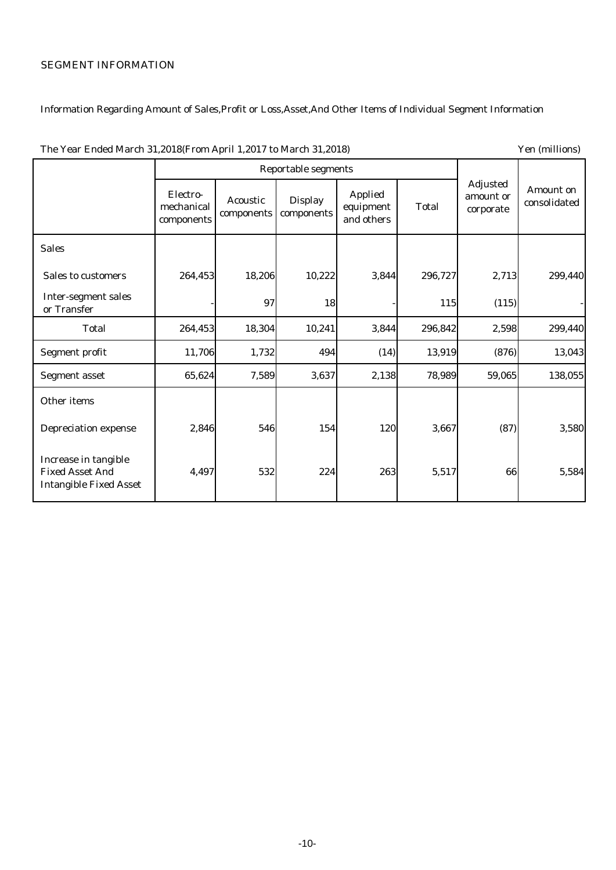# SEGMENT INFORMATION

# Information Regarding Amount of Sales,Profit or Loss,Asset,And Other Items of Individual Segment Information

|                                                                                 | <b>Reportable segments</b>           |                               |                              |                                           |              |                                           |                           |
|---------------------------------------------------------------------------------|--------------------------------------|-------------------------------|------------------------------|-------------------------------------------|--------------|-------------------------------------------|---------------------------|
|                                                                                 | Electro-<br>mechanical<br>components | <b>Acoustic</b><br>components | <b>Display</b><br>components | <b>Applied</b><br>equipment<br>and others | <b>Total</b> | <b>Adjusted</b><br>amount or<br>corporate | Amount on<br>consolidated |
| <b>Sales</b>                                                                    |                                      |                               |                              |                                           |              |                                           |                           |
| <b>Sales to customers</b>                                                       | 264,453                              | 18,206                        | 10,222                       | 3,844                                     | 296,727      | 2,713                                     | 299,440                   |
| <b>Inter-segment sales</b><br>or Transfer                                       |                                      | 97                            | 18                           |                                           | 115          | (115)                                     |                           |
| <b>Total</b>                                                                    | 264,453                              | 18,304                        | 10,241                       | 3,844                                     | 296,842      | 2,598                                     | 299,440                   |
| Segment profit                                                                  | 11,706                               | 1,732                         | 494                          | (14)                                      | 13,919       | (876)                                     | 13,043                    |
| <b>Segment asset</b>                                                            | 65,624                               | 7,589                         | 3,637                        | 2,138                                     | 78,989       | 59,065                                    | 138,055                   |
| Other items                                                                     |                                      |                               |                              |                                           |              |                                           |                           |
| <b>Depreciation expense</b>                                                     | 2,846                                | 546                           | 154                          | 120                                       | 3,667        | (87)                                      | 3,580                     |
| Increase in tangible<br><b>Fixed Asset And</b><br><b>Intangible Fixed Asset</b> | 4,497                                | 532                           | 224                          | 263                                       | 5,517        | 66                                        | 5,584                     |

The Year Ended March 31,2018(From April 1,2017 to March 31,2018) Yen (millions)